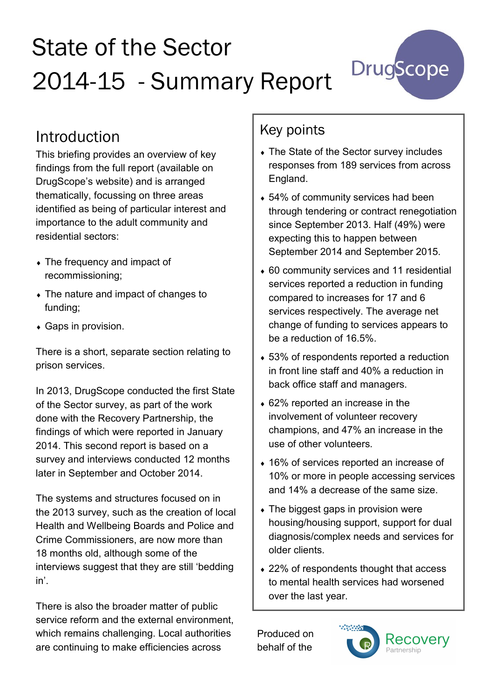# State of the Sector 2014-15 - Summary Report



#### Introduction

This briefing provides an overview of key findings from the full report (available on DrugScope's website) and is arranged thematically, focussing on three areas identified as being of particular interest and importance to the adult community and residential sectors:

- The frequency and impact of recommissioning;
- The nature and impact of changes to funding;
- Gaps in provision.

There is a short, separate section relating to prison services.

In 2013, DrugScope conducted the first State of the Sector survey, as part of the work done with the Recovery Partnership, the findings of which were reported in January 2014. This second report is based on a survey and interviews conducted 12 months later in September and October 2014.

The systems and structures focused on in the 2013 survey, such as the creation of local Health and Wellbeing Boards and Police and Crime Commissioners, are now more than 18 months old, although some of the interviews suggest that they are still 'bedding in'.

There is also the broader matter of public service reform and the external environment, which remains challenging. Local authorities are continuing to make efficiencies across

#### Key points

- The State of the Sector survey includes responses from 189 services from across England.
- ◆ 54% of community services had been through tendering or contract renegotiation since September 2013. Half (49%) were expecting this to happen between September 2014 and September 2015.
- 60 community services and 11 residential services reported a reduction in funding compared to increases for 17 and 6 services respectively. The average net change of funding to services appears to be a reduction of 16.5%.
- 53% of respondents reported a reduction in front line staff and 40% a reduction in back office staff and managers.
- 62% reported an increase in the involvement of volunteer recovery champions, and 47% an increase in the use of other volunteers.
- 16% of services reported an increase of 10% or more in people accessing services and 14% a decrease of the same size.
- The biggest gaps in provision were housing/housing support, support for dual diagnosis/complex needs and services for older clients.
- ◆ 22% of respondents thought that access to mental health services had worsened over the last year.

Produced on behalf of the

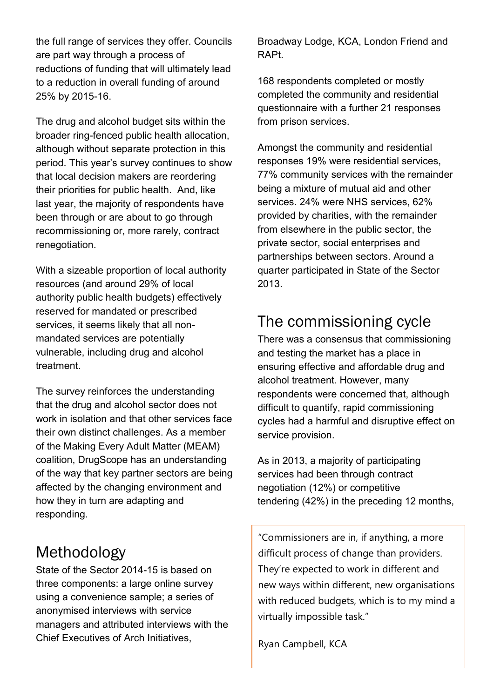the full range of services they offer. Councils are part way through a process of reductions of funding that will ultimately lead to a reduction in overall funding of around 25% by 2015-16.

The drug and alcohol budget sits within the broader ring-fenced public health allocation, although without separate protection in this period. This year's survey continues to show that local decision makers are reordering their priorities for public health. And, like last year, the majority of respondents have been through or are about to go through recommissioning or, more rarely, contract renegotiation.

With a sizeable proportion of local authority resources (and around 29% of local authority public health budgets) effectively reserved for mandated or prescribed services, it seems likely that all nonmandated services are potentially vulnerable, including drug and alcohol treatment.

The survey reinforces the understanding that the drug and alcohol sector does not work in isolation and that other services face their own distinct challenges. As a member of the Making Every Adult Matter (MEAM) coalition, DrugScope has an understanding of the way that key partner sectors are being affected by the changing environment and how they in turn are adapting and responding.

#### Methodology

State of the Sector 2014-15 is based on three components: a large online survey using a convenience sample; a series of anonymised interviews with service managers and attributed interviews with the Chief Executives of Arch Initiatives,

Broadway Lodge, KCA, London Friend and RAPt.

168 respondents completed or mostly completed the community and residential questionnaire with a further 21 responses from prison services.

Amongst the community and residential responses 19% were residential services, 77% community services with the remainder being a mixture of mutual aid and other services. 24% were NHS services, 62% provided by charities, with the remainder from elsewhere in the public sector, the private sector, social enterprises and partnerships between sectors. Around a quarter participated in State of the Sector 2013.

### The commissioning cycle

There was a consensus that commissioning and testing the market has a place in ensuring effective and affordable drug and alcohol treatment. However, many respondents were concerned that, although difficult to quantify, rapid commissioning cycles had a harmful and disruptive effect on service provision.

As in 2013, a majority of participating services had been through contract negotiation (12%) or competitive tendering (42%) in the preceding 12 months,

"Commissioners are in, if anything, a more difficult process of change than providers. They're expected to work in different and new ways within different, new organisations with reduced budgets, which is to my mind a virtually impossible task."

Ryan Campbell, KCA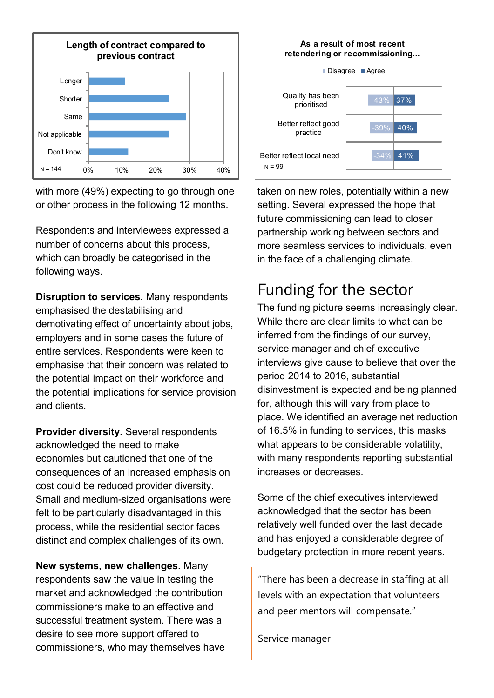

with more (49%) expecting to go through one or other process in the following 12 months.

Respondents and interviewees expressed a number of concerns about this process, which can broadly be categorised in the following ways.

**Disruption to services.** Many respondents emphasised the destabilising and demotivating effect of uncertainty about jobs, employers and in some cases the future of entire services. Respondents were keen to emphasise that their concern was related to the potential impact on their workforce and the potential implications for service provision and clients.

**Provider diversity.** Several respondents acknowledged the need to make economies but cautioned that one of the consequences of an increased emphasis on cost could be reduced provider diversity. Small and medium-sized organisations were felt to be particularly disadvantaged in this process, while the residential sector faces distinct and complex challenges of its own.

**New systems, new challenges.** Many respondents saw the value in testing the market and acknowledged the contribution commissioners make to an effective and successful treatment system. There was a desire to see more support offered to commissioners, who may themselves have



taken on new roles, potentially within a new setting. Several expressed the hope that future commissioning can lead to closer partnership working between sectors and more seamless services to individuals, even in the face of a challenging climate.

#### Funding for the sector

The funding picture seems increasingly clear. While there are clear limits to what can be inferred from the findings of our survey, service manager and chief executive interviews give cause to believe that over the period 2014 to 2016, substantial disinvestment is expected and being planned for, although this will vary from place to place. We identified an average net reduction of 16.5% in funding to services, this masks what appears to be considerable volatility, with many respondents reporting substantial increases or decreases.

Some of the chief executives interviewed acknowledged that the sector has been relatively well funded over the last decade and has enjoyed a considerable degree of budgetary protection in more recent years.

"There has been a decrease in staffing at all levels with an expectation that volunteers and peer mentors will compensate."

Service manager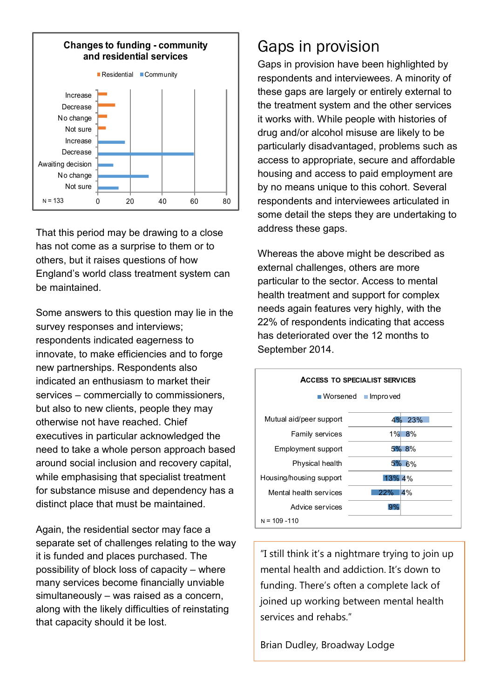

That this period may be drawing to a close has not come as a surprise to them or to others, but it raises questions of how England's world class treatment system can be maintained.

Some answers to this question may lie in the survey responses and interviews; respondents indicated eagerness to innovate, to make efficiencies and to forge new partnerships. Respondents also indicated an enthusiasm to market their services – commercially to commissioners, but also to new clients, people they may otherwise not have reached. Chief executives in particular acknowledged the need to take a whole person approach based around social inclusion and recovery capital, while emphasising that specialist treatment for substance misuse and dependency has a distinct place that must be maintained.

Again, the residential sector may face a separate set of challenges relating to the way it is funded and places purchased. The possibility of block loss of capacity – where many services become financially unviable simultaneously – was raised as a concern, along with the likely difficulties of reinstating that capacity should it be lost.

#### Gaps in provision

Gaps in provision have been highlighted by respondents and interviewees. A minority of these gaps are largely or entirely external to the treatment system and the other services it works with. While people with histories of drug and/or alcohol misuse are likely to be particularly disadvantaged, problems such as access to appropriate, secure and affordable housing and access to paid employment are by no means unique to this cohort. Several respondents and interviewees articulated in some detail the steps they are undertaking to address these gaps.

Whereas the above might be described as external challenges, others are more particular to the sector. Access to mental health treatment and support for complex needs again features very highly, with the 22% of respondents indicating that access has deteriorated over the 12 months to September 2014.



"I still think it's a nightmare trying to join up mental health and addiction. It's down to funding. There's often a complete lack of joined up working between mental health services and rehabs."

Brian Dudley, Broadway Lodge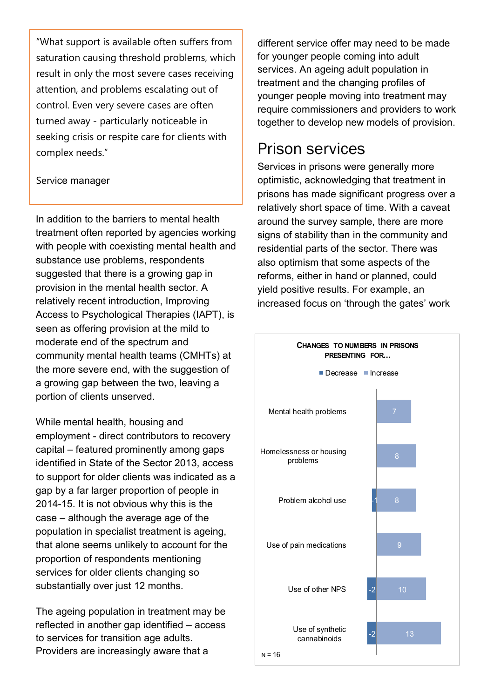"What support is available often suffers from saturation causing threshold problems, which result in only the most severe cases receiving attention, and problems escalating out of control. Even very severe cases are often turned away - particularly noticeable in seeking crisis or respite care for clients with complex needs."

#### Service manager

In addition to the barriers to mental health treatment often reported by agencies working with people with coexisting mental health and substance use problems, respondents suggested that there is a growing gap in provision in the mental health sector. A relatively recent introduction, Improving Access to Psychological Therapies (IAPT), is seen as offering provision at the mild to moderate end of the spectrum and community mental health teams (CMHTs) at the more severe end, with the suggestion of a growing gap between the two, leaving a portion of clients unserved.

While mental health, housing and employment - direct contributors to recovery capital – featured prominently among gaps identified in State of the Sector 2013, access to support for older clients was indicated as a gap by a far larger proportion of people in 2014-15. It is not obvious why this is the case – although the average age of the population in specialist treatment is ageing, that alone seems unlikely to account for the proportion of respondents mentioning services for older clients changing so substantially over just 12 months.

The ageing population in treatment may be reflected in another gap identified – access to services for transition age adults. Providers are increasingly aware that a

different service offer may need to be made for younger people coming into adult services. An ageing adult population in treatment and the changing profiles of younger people moving into treatment may require commissioners and providers to work together to develop new models of provision.

#### Prison services

Services in prisons were generally more optimistic, acknowledging that treatment in prisons has made significant progress over a relatively short space of time. With a caveat around the survey sample, there are more signs of stability than in the community and residential parts of the sector. There was also optimism that some aspects of the reforms, either in hand or planned, could yield positive results. For example, an increased focus on 'through the gates' work